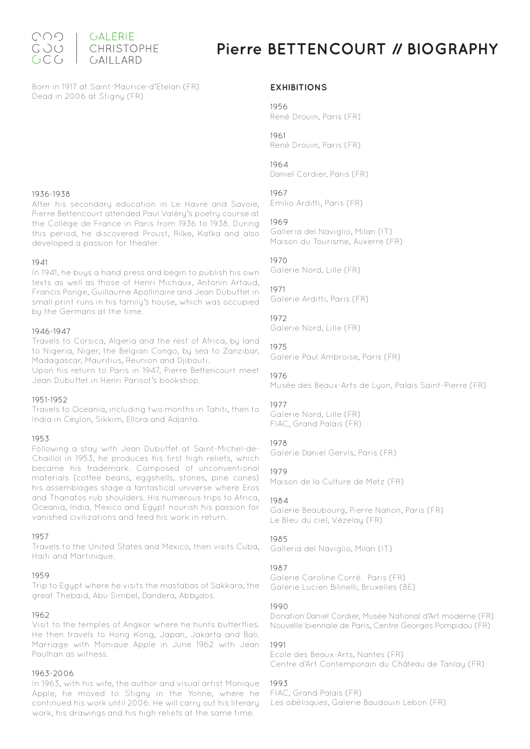

# **Pierre BETTENCOURT // BIOGRAPHY**

Born in 1917 at Saint-Maurice-d'Etelan (FR) Dead in 2006 at Stigny (FR)

#### 1936-1938

After his secondary education in Le Havre and Savoie, Pierre Bettencourt attended Paul Valéry's poetry course at the Collège de France in Paris from 1936 to 1938. During this period, he discovered Proust, Rilke, Kafka and also developed a passion for theater.

#### 1941

In 1941, he buys a hand press and begin to publish his own texts as well as those of Henri Michaux, Antonin Artaud, Francis Ponge, Guillaume Apollinaire and Jean Dubuffet in small print runs in his family's house, which was occupied by the Germans at the time.

#### 1946-1947

Travels to Corsica, Algeria and the rest of Africa, by land to Nigeria, Niger, the Belgian Congo, by sea to Zanzibar, Madagascar, Mauritius, Reunion and Djibouti.

Upon his return to Paris in 1947, Pierre Bettencourt meet Jean Dubuffet in Henri Parisot's bookshop.

#### 1951-1952

Travels to Oceania, including two months in Tahiti, then to India in Ceylon, Sikkim, Ellora and Adjanta.

#### 1953

Following a stay with Jean Dubuffet at Saint-Michel-de-Chaillol in 1953, he produces his first high reliefs, which became his trademark. Composed of unconventional materials (coffee beans, eggshells, stones, pine cones) his assemblages stage a fantastical universe where Eros and Thanatos rub shoulders. His numerous trips to Africa, Oceania, India, Mexico and Egypt nourish his passion for vanished civilizations and feed his work in return.

#### 1957

Travels to the United States and Mexico, then visits Cuba, Haiti and Martinique.

#### 1959

Trip to Egypt where he visits the mastabas of Sakkara, the great Thebaid, Abu Simbel, Dandera, Abbydos.

#### 1962

Visit to the temples of Angkor where he hunts butterflies. He then travels to Hong Kong, Japan, Jakarta and Bali. Marriage with Monique Apple in June 1962 with Jean Paulhan as witness.

#### 1963-2006

In 1963, with his wife, the author and visual artist Monique Apple, he moved to Stigny in the Yonne, where he continued his work until 2006. He will carry out his literary work, his drawings and his high reliefs at the same time.

#### **EXHIBITIONS**

#### 1956

René Drouin, Paris (FR)

1961 René Drouin, Paris (FR)

#### 1964

Daniel Cordier, Paris (FR)

#### 1967

Emilio Arditti, Paris (FR)

#### 1969

Galleria del Naviglio, Milan (IT) Maison du Tourisme, Auxerre (FR)

#### 1970

Galerie Nord, Lille (FR)

#### 1971

Galerie Arditti, Paris (FR)

#### 1072

Galerie Nord, Lille (FR)

#### 1975

Galerie Paul Ambroise, Paris (FR)

#### 1976

Musée des Beaux-Arts de Lyon, Palais Saint-Pierre (FR)

#### 1977

Galerie Nord, Lille (FR) FIAC, Grand Palais (FR)

#### 1978

Galerie Daniel Gervis, Paris (FR)

#### 1979

Maison de la Culture de Metz (FR)

#### 1984

Galerie Beaubourg, Pierre Nahon, Paris (FR) Le Bleu du ciel, Vézelay (FR)

#### 1985

Galleria del Naviglio, Milan (IT)

#### 1987

Galerie Caroline Corré. Paris (FR) Galerie Lucien Bilinelli, Bruxelles (BE)

#### 1990

Donation Daniel Cordier, Musée National d'Art moderne (FR) Nouvelle biennale de Paris, Centre Georges Pompidou (FR)

#### 1991

Ecole des Beaux-Arts, Nantes (FR) Centre d'Art Contemporain du Château de Tanlay (FR)

#### 1993

FIAC, Grand Palais (FR) Les obélisques, Galerie Baudouin Lebon (FR)